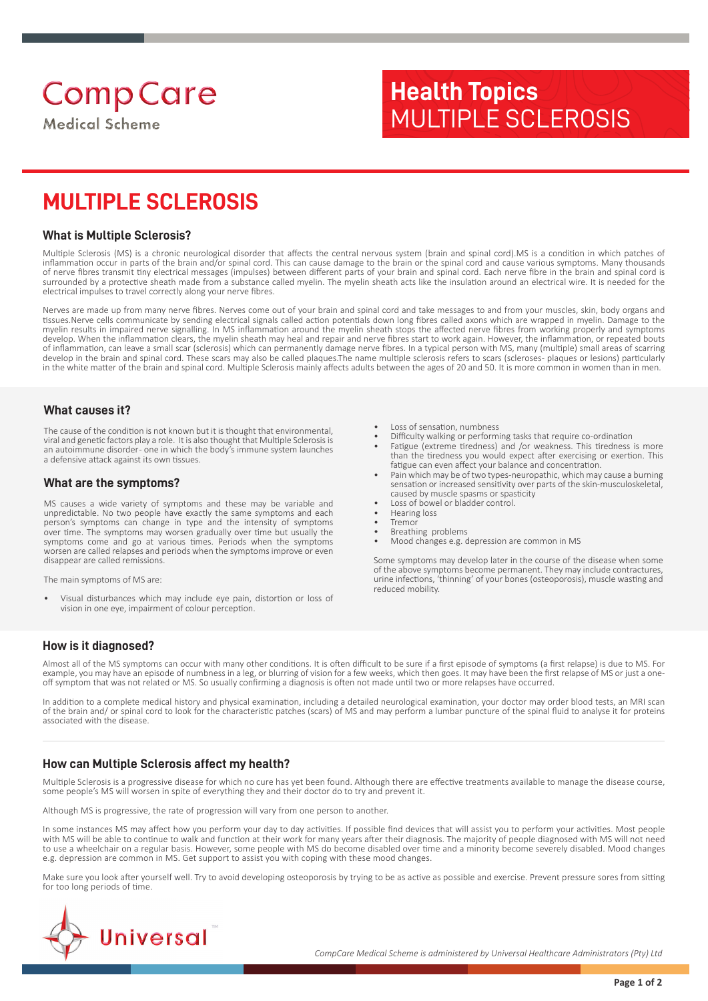# **Health Topics** MULTIPLE SCLEROSIS

## **MULTIPLE SCLEROSIS**

#### **What is Multiple Sclerosis?**

Multiple Sclerosis (MS) is a chronic neurological disorder that affects the central nervous system (brain and spinal cord).MS is a condition in which patches of inflammation occur in parts of the brain and/or spinal cord. This can cause damage to the brain or the spinal cord and cause various symptoms. Many thousands of nerve fibres transmit tiny electrical messages (impulses) between different parts of your brain and spinal cord. Each nerve fibre in the brain and spinal cord is surrounded by a protective sheath made from a substance called myelin. The myelin sheath acts like the insulation around an electrical wire. It is needed for the electrical impulses to travel correctly along your nerve fibres.

Nerves are made up from many nerve fibres. Nerves come out of your brain and spinal cord and take messages to and from your muscles, skin, body organs and tissues.Nerve cells communicate by sending electrical signals called action potentials down long fibres called axons which are wrapped in myelin. Damage to the myelin results in impaired nerve signalling. In MS inflammation around the myelin sheath stops the affected nerve fibres from working properly and symptoms develop. When the inflammation clears, the myelin sheath may heal and repair and nerve fibres start to work again. However, the inflammation, or repeated bouts of inflammation, can leave a small scar (sclerosis) which can permanently damage nerve fibres. In a typical person with MS, many (multiple) small areas of scarring develop in the brain and spinal cord. These scars may also be called plaques.The name multiple sclerosis refers to scars (scleroses- plaques or lesions) particularly in the white matter of the brain and spinal cord. Multiple Sclerosis mainly affects adults between the ages of 20 and 50. It is more common in women than in men.

#### **What causes it?**

The cause of the condition is not known but it is thought that environmental, viral and genetic factors play a role. It is also thought that Multiple Sclerosis is an autoimmune disorder- one in which the body's immune system launches a defensive attack against its own tissues.

#### **What are the symptoms?**

MS causes a wide variety of symptoms and these may be variable and unpredictable. No two people have exactly the same symptoms and each person's symptoms can change in type and the intensity of symptoms over time. The symptoms may worsen gradually over time but usually the symptoms come and go at various times. Periods when the symptoms worsen are called relapses and periods when the symptoms improve or even disappear are called remissions.

The main symptoms of MS are:

• Visual disturbances which may include eye pain, distortion or loss of vision in one eye, impairment of colour perception.

- Loss of sensation, numbness
- Difficulty walking or performing tasks that require co-ordination
- Fatigue (extreme tiredness) and /or weakness. This tiredness is more than the tiredness you would expect after exercising or exertion. This fatigue can even affect your balance and concentration.
- Pain which may be of two types-neuropathic, which may cause a burning sensation or increased sensitivity over parts of the skin-musculoskeletal, caused by muscle spasms or spasticity
- Loss of bowel or bladder control.
- Hearing loss • Tremor
- 
- Breathing problems • Mood changes e.g. depression are common in MS

Some symptoms may develop later in the course of the disease when some of the above symptoms become permanent. They may include contractures, urine infections, 'thinning' of your bones (osteoporosis), muscle wasting and reduced mobility.

## **How is it diagnosed?**

Almost all of the MS symptoms can occur with many other conditions. It is often difficult to be sure if a first episode of symptoms (a first relapse) is due to MS. For example, you may have an episode of numbness in a leg, or blurring of vision for a few weeks, which then goes. It may have been the first relapse of MS or just a oneoff symptom that was not related or MS. So usually confirming a diagnosis is often not made until two or more relapses have occurred.

In addition to a complete medical history and physical examination, including a detailed neurological examination, your doctor may order blood tests, an MRI scan of the brain and/ or spinal cord to look for the characteristic patches (scars) of MS and may perform a lumbar puncture of the spinal fluid to analyse it for proteins associated with the disease.

## **How can Multiple Sclerosis affect my health?**

Multiple Sclerosis is a progressive disease for which no cure has yet been found. Although there are effective treatments available to manage the disease course, some people's MS will worsen in spite of everything they and their doctor do to try and prevent it.

Although MS is progressive, the rate of progression will vary from one person to another.

In some instances MS may affect how you perform your day to day activities. If possible find devices that will assist you to perform your activities. Most people with MS will be able to continue to walk and function at their work for many years after their diagnosis. The majority of people diagnosed with MS will not need to use a wheelchair on a regular basis. However, some people with MS do become disabled over time and a minority become severely disabled. Mood changes<br>e.g. depression are common in MS. Get support to assist you with copin

Make sure you look after yourself well. Try to avoid developing osteoporosis by trying to be as active as possible and exercise. Prevent pressure sores from sitting for too long periods of time.